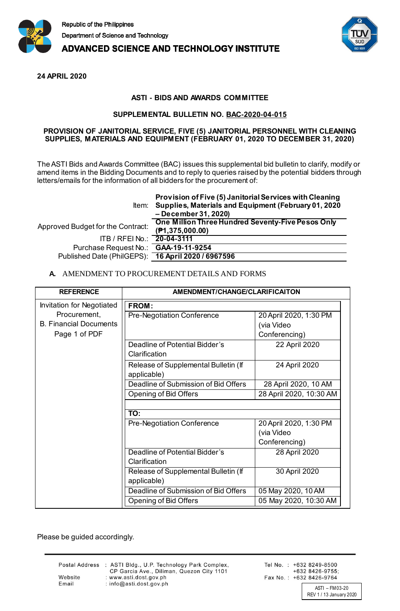

**ADVANCED SCIENCE AND TECHNOLOGY INSTITUTE** 



**24 APRIL 2020**

## **ASTI - BIDS AND AWARDS COMMITTEE**

## **SUPPLEMENTAL BULLETIN NO. BAC-2020-04-015**

## **PROVISION OF JANITORIAL SERVICE, FIVE (5) JANITORIAL PERSONNEL WITH CLEANING SUPPLIES, MATERIALS AND EQUIPMENT (FEBRUARY 01, 2020 TO DECEMBER 31, 2020)**

The ASTI Bids and Awards Committee (BAC) issues this supplemental bid bulletin to clarify, modify or amend items in the Bidding Documents and to reply to queries raised by the potential bidders through letters/emails for the information of all bidders for the procurement of:

|                                                    | Provision of Five (5) Janitorial Services with Cleaning<br>Item: Supplies, Materials and Equipment (February 01, 2020)<br>- December 31, 2020) |
|----------------------------------------------------|------------------------------------------------------------------------------------------------------------------------------------------------|
| Approved Budget for the Contract:                  | One Million Three Hundred Seventy-Five Pesos Only<br>(P1, 375, 000.00)                                                                         |
| ITB / RFEI No.: 20-04-3111                         |                                                                                                                                                |
| Purchase Request No.: GAA-19-11-9254               |                                                                                                                                                |
| Published Date (PhilGEPS): 16 April 2020 / 6967596 |                                                                                                                                                |

## **A.** AMENDMENT TO PROCUREMENT DETAILS AND FORMS

| <b>REFERENCE</b>                 | AMENDMENT/CHANGE/CLARIFICAITON                      |                         |  |
|----------------------------------|-----------------------------------------------------|-------------------------|--|
| <b>Invitation for Negotiated</b> | <b>FROM:</b>                                        |                         |  |
| Procurement,                     | Pre-Negotiation Conference                          | 20 April 2020, 1:30 PM  |  |
| <b>B. Financial Documents</b>    |                                                     | (via Video              |  |
| Page 1 of PDF                    |                                                     | Conferencing)           |  |
|                                  | Deadline of Potential Bidder's<br>Clarification     | 22 April 2020           |  |
|                                  | Release of Supplemental Bulletin (If<br>applicable) | 24 April 2020           |  |
|                                  | Deadline of Submission of Bid Offers                | 28 April 2020, 10 AM    |  |
|                                  | <b>Opening of Bid Offers</b>                        | 28 April 2020, 10:30 AM |  |
|                                  |                                                     |                         |  |
|                                  | TO:                                                 |                         |  |
|                                  | Pre-Negotiation Conference                          | 20 April 2020, 1:30 PM  |  |
|                                  |                                                     | (via Video              |  |
|                                  |                                                     | Conferencing)           |  |
|                                  | Deadline of Potential Bidder's                      | 28 April 2020           |  |
|                                  | Clarification                                       |                         |  |
|                                  | Release of Supplemental Bulletin (If                | 30 April 2020           |  |
|                                  | applicable)                                         |                         |  |
|                                  | Deadline of Submission of Bid Offers                | 05 May 2020, 10 AM      |  |
|                                  | <b>Opening of Bid Offers</b>                        | 05 May 2020, 10:30 AM   |  |

Please be guided accordingly.

Website

Email